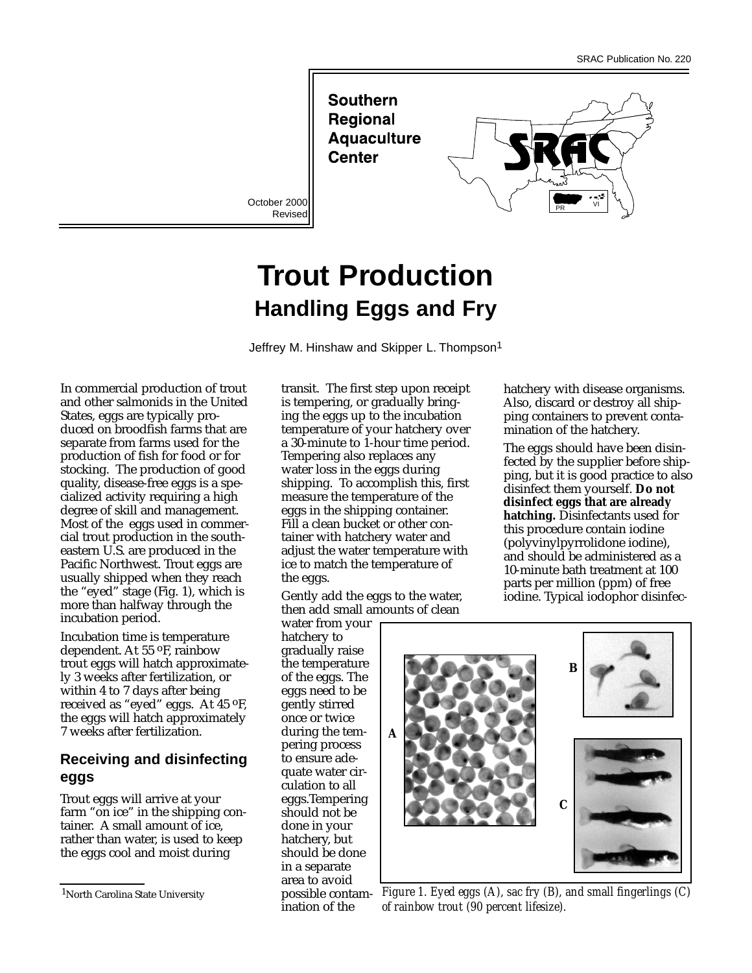**Southern Regional Aquaculture Center** 

October 2000 Revised



# **Trout Production Handling Eggs and Fry**

Jeffrey M. Hinshaw and Skipper L. Thompson<sup>1</sup>

In commercial production of trout and other salmonids in the United States, eggs are typically produced on broodfish farms that are separate from farms used for the production of fish for food or for stocking. The production of good quality, disease-free eggs is a specialized activity requiring a high degree of skill and management. Most of the eggs used in commercial trout production in the southeastern U.S. are produced in the Pacific Northwest. Trout eggs are usually shipped when they reach the "eyed" stage (Fig. 1), which is more than halfway through the incubation period.

Incubation time is temperature dependent. At 55 oF, rainbow trout eggs will hatch approximately 3 weeks after fertilization, or within 4 to 7 days after being received as "eyed" eggs. At 45 oF, the eggs will hatch approximately 7 weeks after fertilization.

## **Receiving and disinfecting eggs**

Trout eggs will arrive at your farm "on ice" in the shipping container. A small amount of ice, rather than water, is used to keep the eggs cool and moist during

transit. The first step upon receipt is tempering, or gradually bringing the eggs up to the incubation temperature of your hatchery over a 30-minute to 1-hour time period. Tempering also replaces any water loss in the eggs during shipping. To accomplish this, first measure the temperature of the eggs in the shipping container. Fill a clean bucket or other container with hatchery water and adjust the water temperature with ice to match the temperature of the eggs.

Gently add the eggs to the water, then add small amounts of clean

water from your hatchery to gradually raise the temperature of the eggs. The eggs need to be gently stirred once or twice during the tempering process to ensure adequate water circulation to all eggs.Tempering should not be done in your hatchery, but should be done in a separate area to avoid ination of the

hatchery with disease organisms. Also, discard or destroy all shipping containers to prevent contamination of the hatchery.

The eggs should have been disinfected by the supplier before shipping, but it is good practice to also disinfect them yourself. **Do not disinfect eggs that are already hatching.** Disinfectants used for this procedure contain iodine (polyvinylpyrrolidone iodine), and should be administered as a 10-minute bath treatment at 100 parts per million (ppm) of free iodine. Typical iodophor disinfec-



<sup>1</sup>North Carolina State University *Figure 1. Eyed eggs (A), sac fry (B), and small fingerlings (C) of rainbow trout (90 percent lifesize).*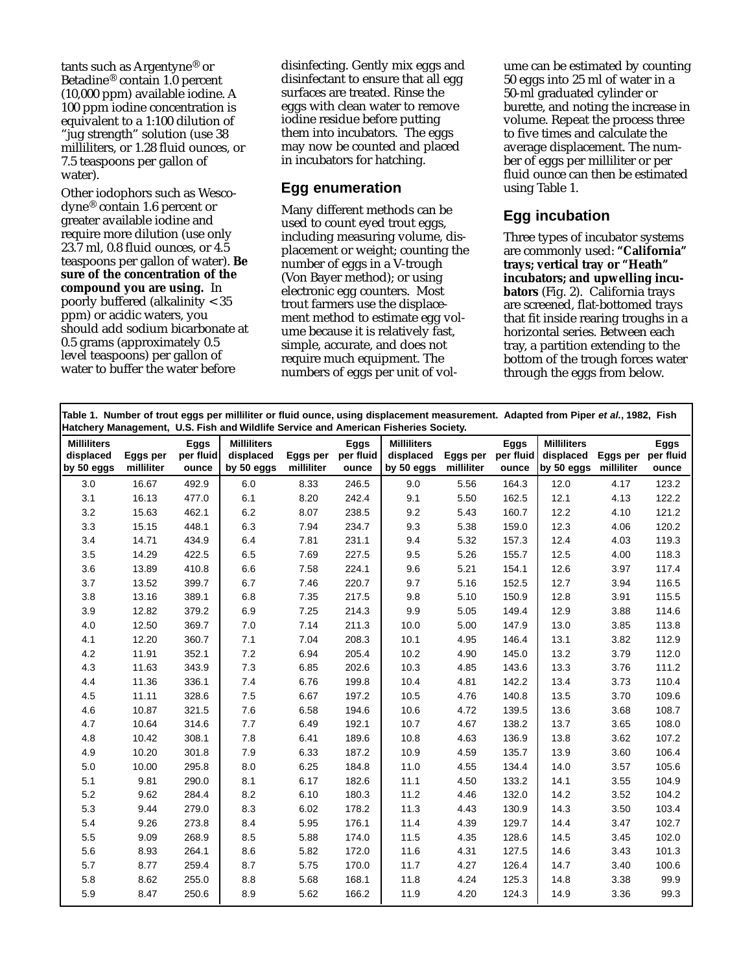tants such as Argentyne® or Betadine® contain 1.0 percent (10,000 ppm) available iodine. A 100 ppm iodine concentration is equivalent to a 1:100 dilution of "jug strength" solution (use 38 milliliters, or 1.28 fluid ounces, or 7.5 teaspoons per gallon of water).

Other iodophors such as Wescodyne® contain 1.6 percent or greater available iodine and require more dilution (use only 23.7 ml, 0.8 fluid ounces, or 4.5 teaspoons per gallon of water). **Be sure of the concentration of the compound you are using.** In poorly buffered (alkalinity < 35 ppm) or acidic waters, you should add sodium bicarbonate at 0.5 grams (approximately 0.5 level teaspoons) per gallon of water to buffer the water before

disinfecting. Gently mix eggs and disinfectant to ensure that all egg surfaces are treated. Rinse the eggs with clean water to remove iodine residue before putting them into incubators. The eggs may now be counted and placed in incubators for hatching.

### **Egg enumeration**

Many different methods can be used to count eyed trout eggs, including measuring volume, displacement or weight; counting the number of eggs in a V-trough (Von Bayer method); or using electronic egg counters. Most trout farmers use the displacement method to estimate egg volume because it is relatively fast, simple, accurate, and does not require much equipment. The numbers of eggs per unit of volume can be estimated by counting 50 eggs into 25 ml of water in a 50-ml graduated cylinder or burette, and noting the increase in volume. Repeat the process three to five times and calculate the average displacement. The number of eggs per milliliter or per fluid ounce can then be estimated using Table 1.

## **Egg incubation**

Three types of incubator systems are commonly used: **"California" trays; vertical tray or "Heath" incubators; and upwelling incubators** (Fig. 2). California trays are screened, flat-bottomed trays that fit inside rearing troughs in a horizontal series. Between each tray, a partition extending to the bottom of the trough forces water through the eggs from below.

| Table 1. Number of trout eggs per milliliter or fluid ounce, using displacement measurement. Adapted from Piper et al., 1982, Fish<br>Hatchery Management, U.S. Fish and Wildlife Service and American Fisheries Society. |                        |                                   |                                               |                        |                                   |                                               |                        |                            |                                               |                        |                                   |
|---------------------------------------------------------------------------------------------------------------------------------------------------------------------------------------------------------------------------|------------------------|-----------------------------------|-----------------------------------------------|------------------------|-----------------------------------|-----------------------------------------------|------------------------|----------------------------|-----------------------------------------------|------------------------|-----------------------------------|
| <b>Milliliters</b><br>displaced<br>by 50 eggs                                                                                                                                                                             | Eggs per<br>milliliter | <b>Eggs</b><br>per fluid<br>ounce | <b>Milliliters</b><br>displaced<br>by 50 eggs | Eggs per<br>milliliter | <b>Eggs</b><br>per fluid<br>ounce | <b>Milliliters</b><br>displaced<br>by 50 eggs | Eggs per<br>milliliter | Eggs<br>per fluid<br>ounce | <b>Milliliters</b><br>displaced<br>by 50 eggs | Eggs per<br>milliliter | <b>Eggs</b><br>per fluid<br>ounce |
| 3.0                                                                                                                                                                                                                       | 16.67                  | 492.9                             | 6.0                                           | 8.33                   | 246.5                             | 9.0                                           | 5.56                   | 164.3                      | 12.0                                          | 4.17                   | 123.2                             |
| 3.1                                                                                                                                                                                                                       | 16.13                  | 477.0                             | 6.1                                           | 8.20                   | 242.4                             | 9.1                                           | 5.50                   | 162.5                      | 12.1                                          | 4.13                   | 122.2                             |
| 3.2                                                                                                                                                                                                                       | 15.63                  | 462.1                             | 6.2                                           | 8.07                   | 238.5                             | 9.2                                           | 5.43                   | 160.7                      | 12.2                                          | 4.10                   | 121.2                             |
| 3.3                                                                                                                                                                                                                       | 15.15                  | 448.1                             | 6.3                                           | 7.94                   | 234.7                             | 9.3                                           | 5.38                   | 159.0                      | 12.3                                          | 4.06                   | 120.2                             |
| 3.4                                                                                                                                                                                                                       | 14.71                  | 434.9                             | 6.4                                           | 7.81                   | 231.1                             | 9.4                                           | 5.32                   | 157.3                      | 12.4                                          | 4.03                   | 119.3                             |
| 3.5                                                                                                                                                                                                                       | 14.29                  | 422.5                             | 6.5                                           | 7.69                   | 227.5                             | 9.5                                           | 5.26                   | 155.7                      | 12.5                                          | 4.00                   | 118.3                             |
| 3.6                                                                                                                                                                                                                       | 13.89                  | 410.8                             | 6.6                                           | 7.58                   | 224.1                             | 9.6                                           | 5.21                   | 154.1                      | 12.6                                          | 3.97                   | 117.4                             |
| 3.7                                                                                                                                                                                                                       | 13.52                  | 399.7                             | 6.7                                           | 7.46                   | 220.7                             | 9.7                                           | 5.16                   | 152.5                      | 12.7                                          | 3.94                   | 116.5                             |
| 3.8                                                                                                                                                                                                                       | 13.16                  | 389.1                             | 6.8                                           | 7.35                   | 217.5                             | 9.8                                           | 5.10                   | 150.9                      | 12.8                                          | 3.91                   | 115.5                             |
| 3.9                                                                                                                                                                                                                       | 12.82                  | 379.2                             | 6.9                                           | 7.25                   | 214.3                             | 9.9                                           | 5.05                   | 149.4                      | 12.9                                          | 3.88                   | 114.6                             |
| 4.0                                                                                                                                                                                                                       | 12.50                  | 369.7                             | $7.0$                                         | 7.14                   | 211.3                             | 10.0                                          | 5.00                   | 147.9                      | 13.0                                          | 3.85                   | 113.8                             |
| 4.1                                                                                                                                                                                                                       | 12.20                  | 360.7                             | 7.1                                           | 7.04                   | 208.3                             | 10.1                                          | 4.95                   | 146.4                      | 13.1                                          | 3.82                   | 112.9                             |
| 4.2                                                                                                                                                                                                                       | 11.91                  | 352.1                             | 7.2                                           | 6.94                   | 205.4                             | 10.2                                          | 4.90                   | 145.0                      | 13.2                                          | 3.79                   | 112.0                             |
| 4.3                                                                                                                                                                                                                       | 11.63                  | 343.9                             | 7.3                                           | 6.85                   | 202.6                             | 10.3                                          | 4.85                   | 143.6                      | 13.3                                          | 3.76                   | 111.2                             |
| 4.4                                                                                                                                                                                                                       | 11.36                  | 336.1                             | 7.4                                           | 6.76                   | 199.8                             | 10.4                                          | 4.81                   | 142.2                      | 13.4                                          | 3.73                   | 110.4                             |
| 4.5                                                                                                                                                                                                                       | 11.11                  | 328.6                             | $7.5\,$                                       | 6.67                   | 197.2                             | 10.5                                          | 4.76                   | 140.8                      | 13.5                                          | 3.70                   | 109.6                             |
| 4.6                                                                                                                                                                                                                       | 10.87                  | 321.5                             | 7.6                                           | 6.58                   | 194.6                             | 10.6                                          | 4.72                   | 139.5                      | 13.6                                          | 3.68                   | 108.7                             |
| 4.7                                                                                                                                                                                                                       | 10.64                  | 314.6                             | 7.7                                           | 6.49                   | 192.1                             | 10.7                                          | 4.67                   | 138.2                      | 13.7                                          | 3.65                   | 108.0                             |
| 4.8                                                                                                                                                                                                                       | 10.42                  | 308.1                             | 7.8                                           | 6.41                   | 189.6                             | 10.8                                          | 4.63                   | 136.9                      | 13.8                                          | 3.62                   | 107.2                             |
| 4.9                                                                                                                                                                                                                       | 10.20                  | 301.8                             | 7.9                                           | 6.33                   | 187.2                             | 10.9                                          | 4.59                   | 135.7                      | 13.9                                          | 3.60                   | 106.4                             |
| 5.0                                                                                                                                                                                                                       | 10.00                  | 295.8                             | 8.0                                           | 6.25                   | 184.8                             | 11.0                                          | 4.55                   | 134.4                      | 14.0                                          | 3.57                   | 105.6                             |
| 5.1                                                                                                                                                                                                                       | 9.81                   | 290.0                             | 8.1                                           | 6.17                   | 182.6                             | 11.1                                          | 4.50                   | 133.2                      | 14.1                                          | 3.55                   | 104.9                             |
| 5.2                                                                                                                                                                                                                       | 9.62                   | 284.4                             | 8.2                                           | 6.10                   | 180.3                             | 11.2                                          | 4.46                   | 132.0                      | 14.2                                          | 3.52                   | 104.2                             |
| 5.3                                                                                                                                                                                                                       | 9.44                   | 279.0                             | 8.3                                           | 6.02                   | 178.2                             | 11.3                                          | 4.43                   | 130.9                      | 14.3                                          | 3.50                   | 103.4                             |
| 5.4                                                                                                                                                                                                                       | 9.26                   | 273.8                             | 8.4                                           | 5.95                   | 176.1                             | 11.4                                          | 4.39                   | 129.7                      | 14.4                                          | 3.47                   | 102.7                             |
| 5.5                                                                                                                                                                                                                       | 9.09                   | 268.9                             | 8.5                                           | 5.88                   | 174.0                             | 11.5                                          | 4.35                   | 128.6                      | 14.5                                          | 3.45                   | 102.0                             |
| 5.6                                                                                                                                                                                                                       | 8.93                   | 264.1                             | 8.6                                           | 5.82                   | 172.0                             | 11.6                                          | 4.31                   | 127.5                      | 14.6                                          | 3.43                   | 101.3                             |
| 5.7                                                                                                                                                                                                                       | 8.77                   | 259.4                             | 8.7                                           | 5.75                   | 170.0                             | 11.7                                          | 4.27                   | 126.4                      | 14.7                                          | 3.40                   | 100.6                             |
| 5.8                                                                                                                                                                                                                       | 8.62                   | 255.0                             | 8.8                                           | 5.68                   | 168.1                             | 11.8                                          | 4.24                   | 125.3                      | 14.8                                          | 3.38                   | 99.9                              |
| 5.9                                                                                                                                                                                                                       | 8.47                   | 250.6                             | 8.9                                           | 5.62                   | 166.2                             | 11.9                                          | 4.20                   | 124.3                      | 14.9                                          | 3.36                   | 99.3                              |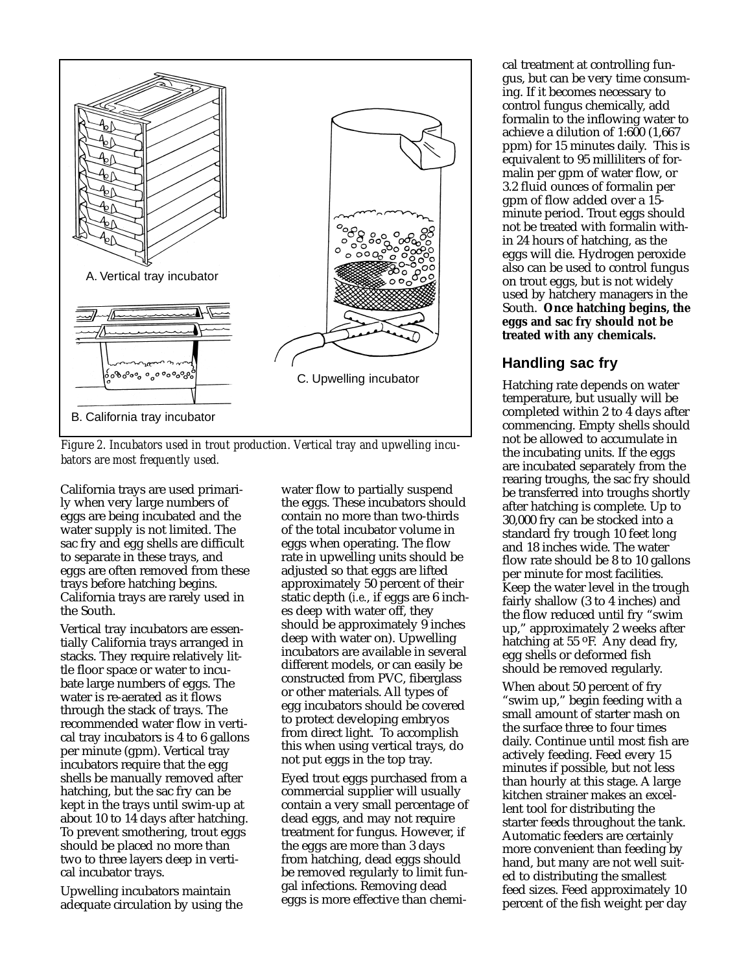

*Figure 2. Incubators used in trout production. Vertical tray and upwelling incubators are most frequently used.*

California trays are used primarily when very large numbers of eggs are being incubated and the water supply is not limited. The sac fry and egg shells are difficult to separate in these trays, and eggs are often removed from these trays before hatching begins. California trays are rarely used in the South.

Vertical tray incubators are essentially California trays arranged in stacks. They require relatively little floor space or water to incubate large numbers of eggs. The water is re-aerated as it flows through the stack of trays. The recommended water flow in vertical tray incubators is 4 to 6 gallons per minute (gpm). Vertical tray incubators require that the egg shells be manually removed after hatching, but the sac fry can be kept in the trays until swim-up at about 10 to 14 days after hatching. To prevent smothering, trout eggs should be placed no more than two to three layers deep in vertical incubator trays.

Upwelling incubators maintain adequate circulation by using the water flow to partially suspend the eggs. These incubators should contain no more than two-thirds of the total incubator volume in eggs when operating. The flow rate in upwelling units should be adjusted so that eggs are lifted approximately 50 percent of their static depth (*i.e.*, if eggs are 6 inches deep with water off, they should be approximately 9 inches deep with water on). Upwelling incubators are available in several different models, or can easily be constructed from PVC, fiberglass or other materials. All types of egg incubators should be covered to protect developing embryos from direct light. To accomplish this when using vertical trays, do not put eggs in the top tray.

Eyed trout eggs purchased from a commercial supplier will usually contain a very small percentage of dead eggs, and may not require treatment for fungus. However, if the eggs are more than 3 days from hatching, dead eggs should be removed regularly to limit fungal infections. Removing dead eggs is more effective than chemical treatment at controlling fungus, but can be very time consuming. If it becomes necessary to control fungus chemically, add formalin to the inflowing water to achieve a dilution of 1:600 (1,667 ppm) for 15 minutes daily. This is equivalent to 95 milliliters of formalin per gpm of water flow, or 3.2 fluid ounces of formalin per gpm of flow added over a 15 minute period. Trout eggs should not be treated with formalin within 24 hours of hatching, as the eggs will die. Hydrogen peroxide also can be used to control fungus on trout eggs, but is not widely used by hatchery managers in the South. **Once hatching begins, the eggs and sac fry should not be treated with any chemicals.**

## **Handling sac fry**

Hatching rate depends on water temperature, but usually will be completed within 2 to 4 days after commencing. Empty shells should not be allowed to accumulate in the incubating units. If the eggs are incubated separately from the rearing troughs, the sac fry should be transferred into troughs shortly after hatching is complete. Up to 30,000 fry can be stocked into a standard fry trough 10 feet long and 18 inches wide. The water flow rate should be 8 to 10 gallons per minute for most facilities. Keep the water level in the trough fairly shallow (3 to 4 inches) and the flow reduced until fry "swim up," approximately 2 weeks after hatching at 55 °F. Any dead fry, egg shells or deformed fish should be removed regularly.

When about 50 percent of fry "swim up," begin feeding with a small amount of starter mash on the surface three to four times daily. Continue until most fish are actively feeding. Feed every 15 minutes if possible, but not less than hourly at this stage. A large kitchen strainer makes an excellent tool for distributing the starter feeds throughout the tank. Automatic feeders are certainly more convenient than feeding by hand, but many are not well suited to distributing the smallest feed sizes. Feed approximately 10 percent of the fish weight per day